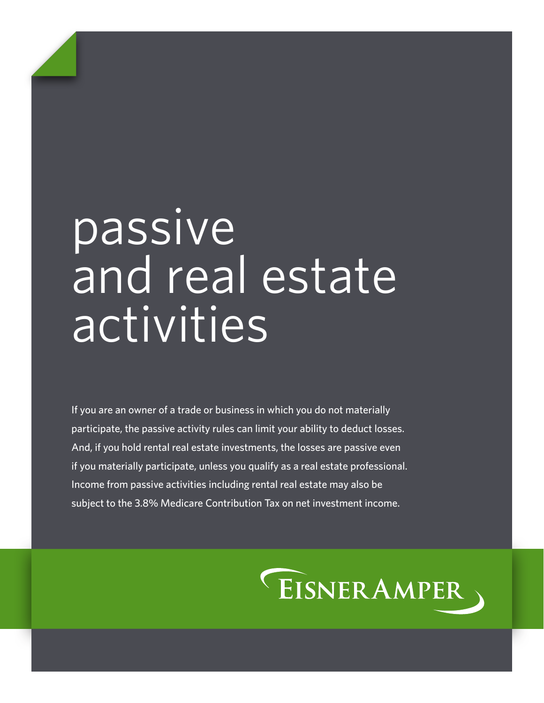# passive and real estate activities

If you are an owner of a trade or business in which you do not materially participate, the passive activity rules can limit your ability to deduct losses. And, if you hold rental real estate investments, the losses are passive even if you materially participate, unless you qualify as a real estate professional. Income from passive activities including rental real estate may also be subject to the 3.8% Medicare Contribution Tax on net investment income.

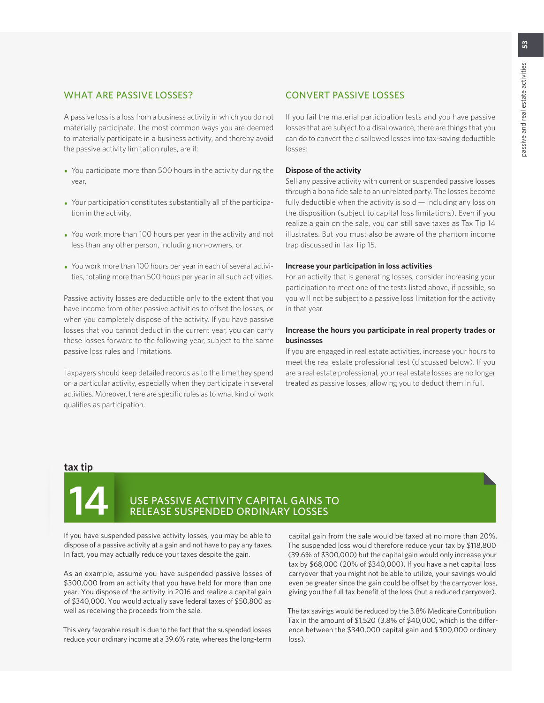# WHAT ARE PASSIVE LOSSES?

A passive loss is a loss from a business activity in which you do not materially participate. The most common ways you are deemed to materially participate in a business activity, and thereby avoid the passive activity limitation rules, are if:

- You participate more than 500 hours in the activity during the year,
- Your participation constitutes substantially all of the participation in the activity,
- You work more than 100 hours per year in the activity and not less than any other person, including non-owners, or
- You work more than 100 hours per year in each of several activities, totaling more than 500 hours per year in all such activities.

Passive activity losses are deductible only to the extent that you have income from other passive activities to offset the losses, or when you completely dispose of the activity. If you have passive losses that you cannot deduct in the current year, you can carry these losses forward to the following year, subject to the same passive loss rules and limitations.

Taxpayers should keep detailed records as to the time they spend on a particular activity, especially when they participate in several activities. Moreover, there are specific rules as to what kind of work qualifies as participation.

# CONVERT PASSIVE LOSSES

If you fail the material participation tests and you have passive losses that are subject to a disallowance, there are things that you can do to convert the disallowed losses into tax-saving deductible losses:

#### **Dispose of the activity**

Sell any passive activity with current or suspended passive losses through a bona fide sale to an unrelated party. The losses become fully deductible when the activity is sold — including any loss on the disposition (subject to capital loss limitations). Even if you realize a gain on the sale, you can still save taxes as Tax Tip 14 illustrates. But you must also be aware of the phantom income trap discussed in Tax Tip 15.

#### **Increase your participation in loss activities**

For an activity that is generating losses, consider increasing your participation to meet one of the tests listed above, if possible, so you will not be subject to a passive loss limitation for the activity in that year.

#### **Increase the hours you participate in real property trades or businesses**

If you are engaged in real estate activities, increase your hours to meet the real estate professional test (discussed below). If you are a real estate professional, your real estate losses are no longer treated as passive losses, allowing you to deduct them in full.

#### **tax tip**



# **14** USE PASSIVE ACTIVITY CAPITAL GAINS TO RELEASE SUSPENDED ORDINARY LOSSES

If you have suspended passive activity losses, you may be able to dispose of a passive activity at a gain and not have to pay any taxes. In fact, you may actually reduce your taxes despite the gain.

As an example, assume you have suspended passive losses of \$300,000 from an activity that you have held for more than one year. You dispose of the activity in 2016 and realize a capital gain of \$340,000. You would actually save federal taxes of \$50,800 as well as receiving the proceeds from the sale.

This very favorable result is due to the fact that the suspended losses reduce your ordinary income at a 39.6% rate, whereas the long-term capital gain from the sale would be taxed at no more than 20%. The suspended loss would therefore reduce your tax by \$118,800 (39.6% of \$300,000) but the capital gain would only increase your tax by \$68,000 (20% of \$340,000). If you have a net capital loss carryover that you might not be able to utilize, your savings would even be greater since the gain could be offset by the carryover loss, giving you the full tax benefit of the loss (but a reduced carryover).

The tax savings would be reduced by the 3.8% Medicare Contribution Tax in the amount of \$1,520 (3.8% of \$40,000, which is the difference between the \$340,000 capital gain and \$300,000 ordinary loss).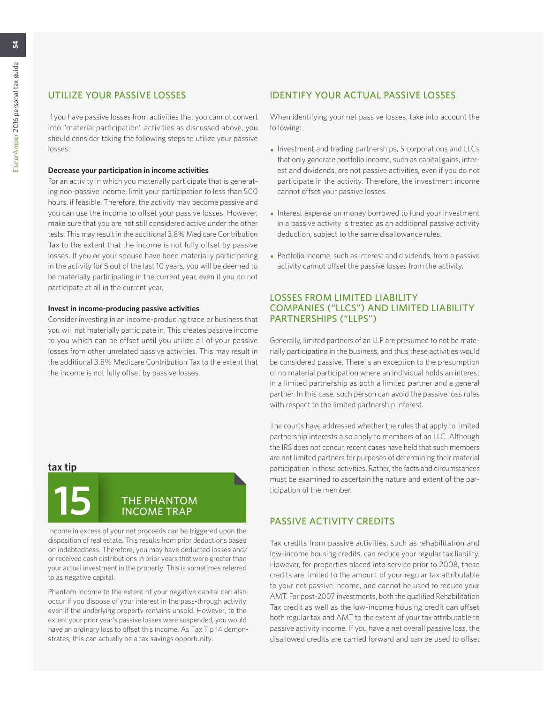If you have passive losses from activities that you cannot convert into "material participation" activities as discussed above, you should consider taking the following steps to utilize your passive losses:

#### **Decrease your participation in income activities**

For an activity in which you materially participate that is generating non-passive income, limit your participation to less than 500 hours, if feasible. Therefore, the activity may become passive and you can use the income to offset your passive losses. However, make sure that you are not still considered active under the other tests. This may result in the additional 3.8% Medicare Contribution Tax to the extent that the income is not fully offset by passive losses. If you or your spouse have been materially participating in the activity for 5 out of the last 10 years, you will be deemed to be materially participating in the current year, even if you do not participate at all in the current year.

#### **Invest in income-producing passive activities**

Consider investing in an income-producing trade or business that you will not materially participate in. This creates passive income to you which can be offset until you utilize all of your passive losses from other unrelated passive activities. This may result in the additional 3.8% Medicare Contribution Tax to the extent that the income is not fully offset by passive losses.

#### **tax tip**



Income in excess of your net proceeds can be triggered upon the disposition of real estate. This results from prior deductions based on indebtedness. Therefore, you may have deducted losses and/ or received cash distributions in prior years that were greater than your actual investment in the property. This is sometimes referred to as negative capital.

Phantom income to the extent of your negative capital can also occur if you dispose of your interest in the pass-through activity, even if the underlying property remains unsold. However, to the extent your prior year's passive losses were suspended, you would have an ordinary loss to offset this income. As Tax Tip 14 demonstrates, this can actually be a tax savings opportunity.

# IDENTIFY YOUR ACTUAL PASSIVE LOSSES

When identifying your net passive losses, take into account the following:

- Investment and trading partnerships, S corporations and LLCs that only generate portfolio income, such as capital gains, interest and dividends, are not passive activities, even if you do not participate in the activity. Therefore, the investment income cannot offset your passive losses.
- Interest expense on money borrowed to fund your investment in a passive activity is treated as an additional passive activity deduction, subject to the same disallowance rules.
- Portfolio income, such as interest and dividends, from a passive activity cannot offset the passive losses from the activity.

# LOSSES FROM LIMITED LIABILITY COMPANIES ("LLCS") AND LIMITED LIABILITY PARTNERSHIPS ("LLPS")

Generally, limited partners of an LLP are presumed to not be materially participating in the business, and thus these activities would be considered passive. There is an exception to the presumption of no material participation where an individual holds an interest in a limited partnership as both a limited partner and a general partner. In this case, such person can avoid the passive loss rules with respect to the limited partnership interest.

The courts have addressed whether the rules that apply to limited partnership interests also apply to members of an LLC. Although the IRS does not concur, recent cases have held that such members are not limited partners for purposes of determining their material participation in these activities. Rather, the facts and circumstances must be examined to ascertain the nature and extent of the participation of the member.

# PASSIVE ACTIVITY CREDITS

Tax credits from passive activities, such as rehabilitation and low-income housing credits, can reduce your regular tax liability. However, for properties placed into service prior to 2008, these credits are limited to the amount of your regular tax attributable to your net passive income, and cannot be used to reduce your AMT. For post-2007 investments, both the qualified Rehabilitation Tax credit as well as the low-income housing credit can offset both regular tax and AMT to the extent of your tax attributable to passive activity income. If you have a net overall passive loss, the disallowed credits are carried forward and can be used to offset

54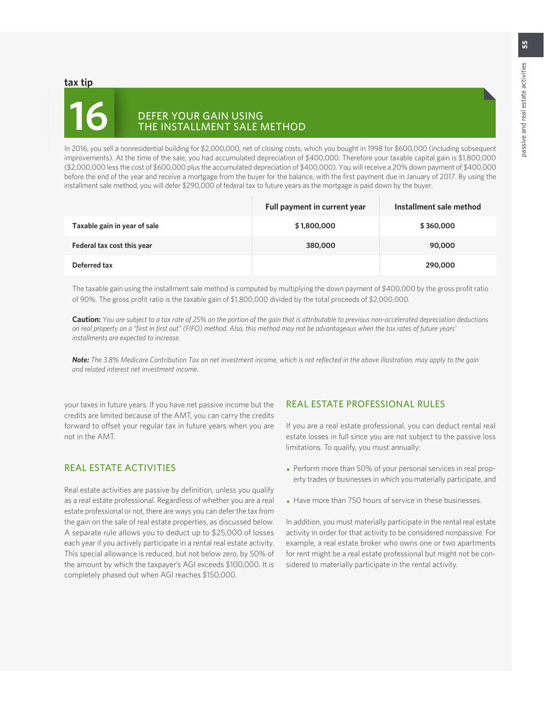#### **tax tip**

# **16** DEFER YOUR GAIN USING THE INSTALLMENT SALE METHOD

In 2016, you sell a nonresidential building for \$2,000,000, net of closing costs, which you bought in 1998 for \$600,000 (including subsequent improvements). At the time of the sale, you had accumulated depreciation of \$400,000. Therefore your taxable capital gain is \$1,800,000 (\$2,000,000 less the cost of \$600,000 plus the accumulated depreciation of \$400,000). You will receive a 20% down payment of \$400,000 before the end of the year and receive a mortgage from the buyer for the balance, with the first payment due in January of 2017. By using the installment sale method, you will defer \$290,000 of federal tax to future years as the mortgage is paid down by the buyer.

|                              | Full payment in current year | Installment sale method |
|------------------------------|------------------------------|-------------------------|
| Taxable gain in year of sale | \$1,800,000                  | \$360,000               |
| Federal tax cost this year   | 380,000                      | 90,000                  |
| Deferred tax                 |                              | 290,000                 |

The taxable gain using the installment sale method is computed by multiplying the down payment of \$400,000 by the gross profit ratio of 90%. The gross profit ratio is the taxable gain of \$1,800,000 divided by the total proceeds of \$2,000,000.

**Caution:** *You are subject to a tax rate of 25% on the portion of the gain that is attributable to previous non-accelerated depreciation deductions on real property on a "first in first out" (FIFO) method. Also, this method may not be advantageous when the tax rates of future years' installments are expected to increase.*

*Note: The 3.8% Medicare Contribution Tax on net investment income, which is not reflected in the above illustration, may apply to the gain and related interest net investment income.*

your taxes in future years. If you have net passive income but the credits are limited because of the AMT, you can carry the credits forward to offset your regular tax in future years when you are not in the AMT.

# REAL ESTATE ACTIVITIES

Real estate activities are passive by definition, unless you qualify as a real estate professional. Regardless of whether you are a real estate professional or not, there are ways you can defer the tax from the gain on the sale of real estate properties, as discussed below. A separate rule allows you to deduct up to \$25,000 of losses each year if you actively participate in a rental real estate activity. This special allowance is reduced, but not below zero, by 50% of the amount by which the taxpayer's AGI exceeds \$100,000. It is completely phased out when AGI reaches \$150,000.

# REAL ESTATE PROFESSIONAL RULES

If you are a real estate professional, you can deduct rental real estate losses in full since you are not subject to the passive loss limitations. To qualify, you must annually:

- Perform more than 50% of your personal services in real property trades or businesses in which you materially participate, and
- Have more than 750 hours of service in these businesses.

In addition, you must materially participate in the rental real estate activity in order for that activity to be considered nonpassive. For example, a real estate broker who owns one or two apartments for rent might be a real estate professional but might not be considered to materially participate in the rental activity.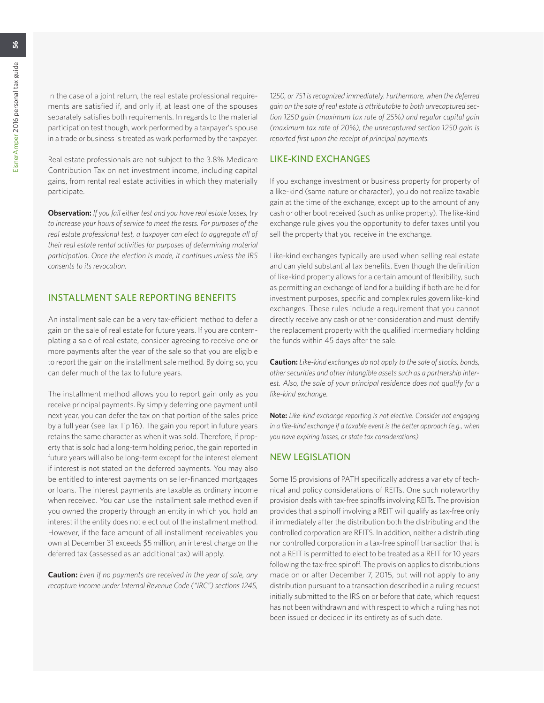In the case of a joint return, the real estate professional requirements are satisfied if, and only if, at least one of the spouses separately satisfies both requirements. In regards to the material participation test though, work performed by a taxpayer's spouse in a trade or business is treated as work performed by the taxpayer.

Real estate professionals are not subject to the 3.8% Medicare Contribution Tax on net investment income, including capital gains, from rental real estate activities in which they materially participate.

**Observation:** *If you fail either test and you have real estate losses, try to increase your hours of service to meet the tests. For purposes of the real estate professional test, a taxpayer can elect to aggregate all of their real estate rental activities for purposes of determining material participation. Once the election is made, it continues unless the IRS consents to its revocation.*

# INSTALLMENT SALE REPORTING BENEFITS

An installment sale can be a very tax-efficient method to defer a gain on the sale of real estate for future years. If you are contemplating a sale of real estate, consider agreeing to receive one or more payments after the year of the sale so that you are eligible to report the gain on the installment sale method. By doing so, you can defer much of the tax to future years.

The installment method allows you to report gain only as you receive principal payments. By simply deferring one payment until next year, you can defer the tax on that portion of the sales price by a full year (see Tax Tip 16). The gain you report in future years retains the same character as when it was sold. Therefore, if property that is sold had a long-term holding period, the gain reported in future years will also be long-term except for the interest element if interest is not stated on the deferred payments. You may also be entitled to interest payments on seller-financed mortgages or loans. The interest payments are taxable as ordinary income when received. You can use the installment sale method even if you owned the property through an entity in which you hold an interest if the entity does not elect out of the installment method. However, if the face amount of all installment receivables you own at December 31 exceeds \$5 million, an interest charge on the deferred tax (assessed as an additional tax) will apply.

**Caution:** *Even if no payments are received in the year of sale, any recapture income under Internal Revenue Code ("IRC") sections 1245,* 

*1250, or 751 is recognized immediately. Furthermore, when the deferred gain on the sale of real estate is attributable to both unrecaptured section 1250 gain (maximum tax rate of 25%) and regular capital gain (maximum tax rate of 20%), the unrecaptured section 1250 gain is reported first upon the receipt of principal payments.*

#### LIKE-KIND EXCHANGES

If you exchange investment or business property for property of a like-kind (same nature or character), you do not realize taxable gain at the time of the exchange, except up to the amount of any cash or other boot received (such as unlike property). The like-kind exchange rule gives you the opportunity to defer taxes until you sell the property that you receive in the exchange.

Like-kind exchanges typically are used when selling real estate and can yield substantial tax benefits. Even though the definition of like-kind property allows for a certain amount of flexibility, such as permitting an exchange of land for a building if both are held for investment purposes, specific and complex rules govern like-kind exchanges. These rules include a requirement that you cannot directly receive any cash or other consideration and must identify the replacement property with the qualified intermediary holding the funds within 45 days after the sale.

**Caution:** *Like-kind exchanges do not apply to the sale of stocks, bonds, other securities and other intangible assets such as a partnership interest. Also, the sale of your principal residence does not qualify for a like-kind exchange.*

**Note:** *Like-kind exchange reporting is not elective. Consider not engaging*  in a like-kind exchange if a taxable event is the better approach (e.g., when *you have expiring losses, or state tax considerations).*

### NEW LEGISLATION

Some 15 provisions of PATH specifically address a variety of technical and policy considerations of REITs. One such noteworthy provision deals with tax-free spinoffs involving REITs. The provision provides that a spinoff involving a REIT will qualify as tax-free only if immediately after the distribution both the distributing and the controlled corporation are REITS. In addition, neither a distributing nor controlled corporation in a tax-free spinoff transaction that is not a REIT is permitted to elect to be treated as a REIT for 10 years following the tax-free spinoff. The provision applies to distributions made on or after December 7, 2015, but will not apply to any distribution pursuant to a transaction described in a ruling request initially submitted to the IRS on or before that date, which request has not been withdrawn and with respect to which a ruling has not been issued or decided in its entirety as of such date.